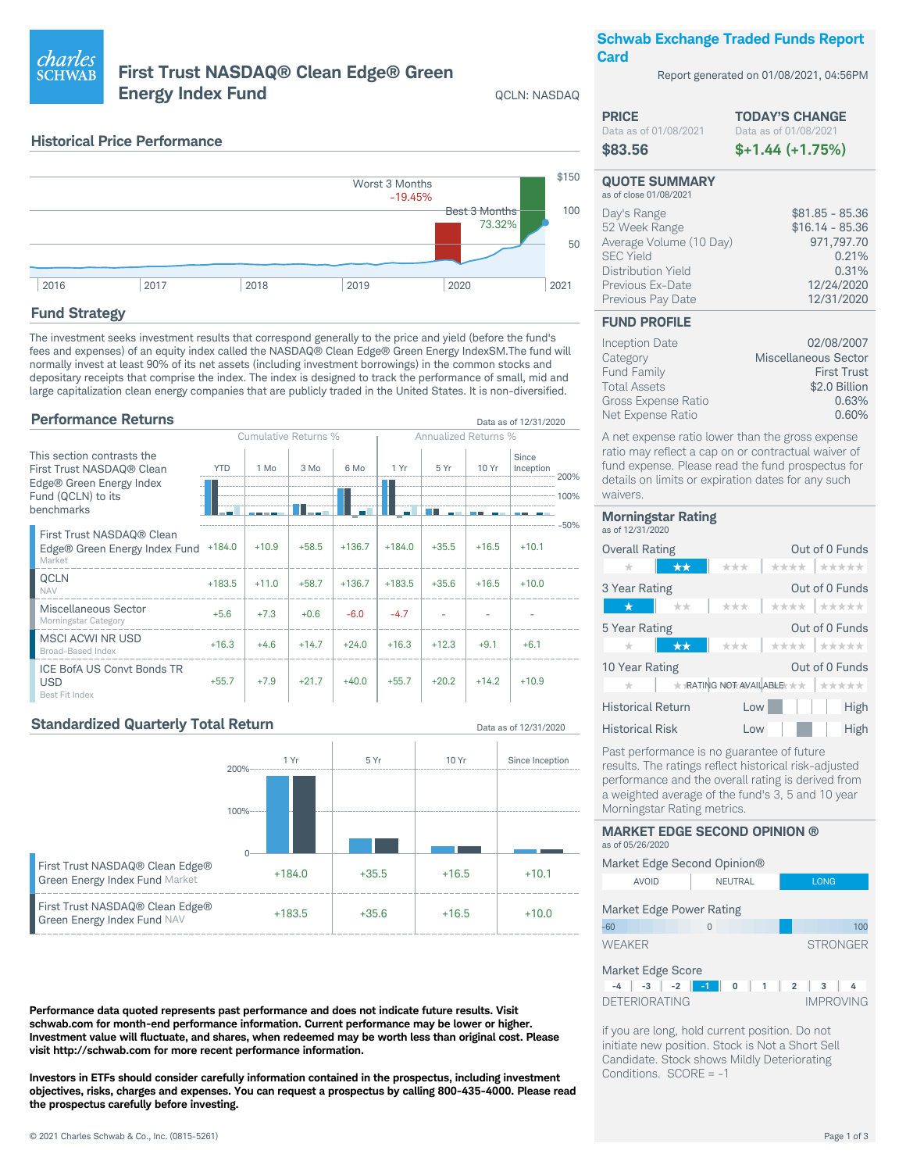# charl<u>es</u> **SCHWAB**

## First Trust NASDAQ® Clean Edge® Green **Energy Index Fund**

**QCLN: NASDAQ** 

Data as of 12/31/2020

## **Schwab Exchange Traded Funds Report Card**

Report generated on 01/08/2021, 04:56PM

| <b>PRICE</b>          | <b>TODAY'S CHANGE</b> |
|-----------------------|-----------------------|
| Data as of 01/08/2021 | Data as of 01/08/2021 |
| \$83.56               | $$+1.44 (+1.75%)$     |

#### **QUOTE SUMMARY** as of close 01/08/2021

| Day's Range<br>$$16.14 - 85.36$<br>52 Week Range<br>Average Volume (10 Day)<br>971,797.70<br><b>SEC Yield</b><br>Distribution Yield<br>12/24/2020<br>Previous Ex-Date<br>12/31/2020<br>Previous Pay Date |
|----------------------------------------------------------------------------------------------------------------------------------------------------------------------------------------------------------|
|----------------------------------------------------------------------------------------------------------------------------------------------------------------------------------------------------------|

### **FUND PROFILE**

| <b>Inception Date</b> | 02/08/2007           |
|-----------------------|----------------------|
| Category              | Miscellaneous Sector |
| <b>Fund Family</b>    | <b>First Trust</b>   |
| <b>Total Assets</b>   | \$2.0 Billion        |
| Gross Expense Ratio   | 0.63%                |
| Net Expense Ratio     | 0.60%                |

A net expense ratio lower than the gross expense ratio may reflect a cap on or contractual waiver of fund expense. Please read the fund prospectus for details on limits or expiration dates for any such waivers

| <b>Morningstar Rating</b><br>as of 12/31/2020 |                                              |
|-----------------------------------------------|----------------------------------------------|
| <b>Overall Rating</b>                         | Out of 0 Funds                               |
| $\star\star$<br>÷                             | ****   *****<br>***                          |
| 3 Year Rating                                 | Out of 0 Funds                               |
| **<br>$\star$                                 | ****   *****<br>***                          |
| 5 Year Rating                                 | Out of 0 Funds                               |
| $\star\star$<br>÷                             | ***<br>*****<br>****                         |
| 10 Year Rating                                | Out of 0 Funds                               |
| ÷.                                            | <b>★ RATING NOT AVAILABLE * *  </b><br>***** |
| <b>Historical Return</b>                      | Low<br>High                                  |
| <b>Historical Risk</b>                        | l ow<br>High                                 |

Past performance is no guarantee of future results. The ratings reflect historical risk-adjusted performance and the overall rating is derived from a weighted average of the fund's 3, 5 and 10 year Morningstar Rating metrics.

#### **MARKET EDGE SECOND OPINION ®** as of 05/26/2020 Market Edge Second Opinion®  $\triangle V$   $\cap$   $\cap$ **NELITRAL LONG**

| Market Edge Power Rating |                 |
|--------------------------|-----------------|
| $-60$                    | 100             |
| <b>WFAKFR</b>            | <b>STRONGER</b> |
| Market Edge Score        |                 |

|                      | .                             |  |  |  |  |  |                  |
|----------------------|-------------------------------|--|--|--|--|--|------------------|
|                      | $-4$ $-3$ $-2$ $-1$ 0 1 2 3 4 |  |  |  |  |  |                  |
| <b>DETERIORATING</b> |                               |  |  |  |  |  | <b>IMPROVING</b> |

if you are long, hold current position. Do not initiate new position. Stock is Not a Short Sell Candidate. Stock shows Mildly Deteriorating Conditions. SCORE = -1

|  | <b>Historical Price Performance</b> |
|--|-------------------------------------|
|  |                                     |



## **Fund Strategy**

The investment seeks investment results that correspond generally to the price and yield (before the fund's fees and expenses) of an equity index called the NASDAQ® Clean Edge® Green Energy IndexSM.The fund will normally invest at least 90% of its net assets (including investment borrowings) in the common stocks and depositary receipts that comprise the index. The index is designed to track the performance of small, mid and large capitalization clean energy companies that are publicly traded in the United States. It is non-diversified.

## **Performance Returns**

|                                                                                                                         |            | Cumulative Returns % |         |          |          | <b>Annualized Returns %</b> |         |                    |                 |
|-------------------------------------------------------------------------------------------------------------------------|------------|----------------------|---------|----------|----------|-----------------------------|---------|--------------------|-----------------|
| This section contrasts the<br>First Trust NASDAQ® Clean<br>Edge® Green Energy Index<br>Fund (QCLN) to its<br>benchmarks | <b>YTD</b> | 1 Mo                 | 3 Mo    | 6 Mo     | 1 Yr     | 5 Yr                        | 10 Yr   | Since<br>Inception | $-200%$<br>100% |
| First Trust NASDAQ® Clean<br>Edge® Green Energy Index Fund<br>Market                                                    | $+184.0$   | $+10.9$              | $+58.5$ | $+136.7$ | $+184.0$ | $+35.5$                     | $+16.5$ | $+10.1$            | $-50%$          |
| <b>QCLN</b><br><b>NAV</b>                                                                                               | $+183.5$   | $+11.0$              | $+58.7$ | $+136.7$ | $+183.5$ | $+35.6$                     | $+16.5$ | $+10.0$            |                 |
| Miscellaneous Sector<br>Morningstar Category                                                                            | $+5.6$     | $+7.3$               | $+0.6$  | $-6.0$   | $-4.7$   |                             |         |                    |                 |
| <b>MSCI ACWI NR USD</b><br><b>Broad-Based Index</b>                                                                     | $+16.3$    | $+4.6$               | $+14.7$ | $+24.0$  | $+16.3$  | $+12.3$                     | $+9.1$  | $+6.1$             |                 |
| <b>ICE BofA US Convt Bonds TR</b><br><b>USD</b><br>Best Fit Index                                                       | $+55.7$    | $+7.9$               | $+21.7$ | $+40.0$  | $+55.7$  | $+20.2$                     | $+14.2$ | $+10.9$            |                 |

## **Standardized Quarterly Total Return**



Performance data quoted represents past performance and does not indicate future results. Visit schwab.com for month-end performance information. Current performance may be lower or higher. Investment value will fluctuate, and shares, when redeemed may be worth less than original cost. Please visit http://schwab.com for more recent performance information.

Investors in ETFs should consider carefully information contained in the prospectus, including investment objectives, risks, charges and expenses. You can request a prospectus by calling 800-435-4000. Please read the prospectus carefully before investing.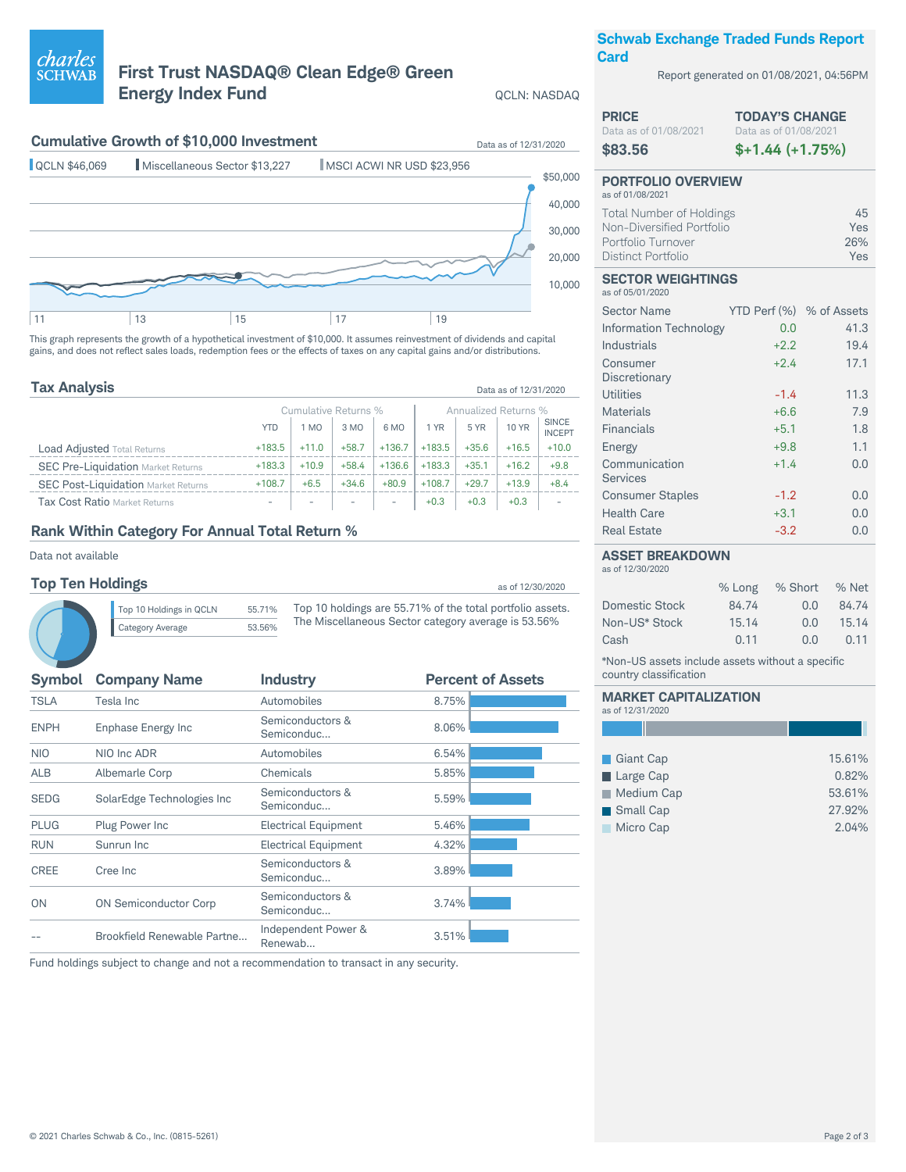#### © 2021 Charles Schwab & Co., Inc. (0815-5261) Page 2 of 3

## **First Trust NASDAQ® Clean Edge® Green Energy Index Fund** QCL

## **Cumulative Growth of \$10,000 Investment** Data as of 12/31/2020



This graph represents the growth of a hypothetical investment of \$10,000. It assumes reinvestment of dividends and capital gains, and does not reflect sales loads, redemption fees or the effects of taxes on any capital gains and/or distributions.

| <b>Tax Analysis</b>                        |            |         |                      |                          |          |                      | Data as of 12/31/2020 |                               |
|--------------------------------------------|------------|---------|----------------------|--------------------------|----------|----------------------|-----------------------|-------------------------------|
|                                            |            |         | Cumulative Returns % |                          |          | Annualized Returns % |                       |                               |
|                                            | <b>YTD</b> | 1 MO    | 3 MO                 | 6 MO                     | 1 YR     | 5 YR                 | <b>10 YR</b>          | <b>SINCE</b><br><b>INCEPT</b> |
| <b>Load Adjusted Total Returns</b>         | $+183.5$   | $+11.0$ | $+58.7$              | $+136.7$                 | $+183.5$ | $+35.6$              | $+16.5$               | $+10.0$                       |
| <b>SEC Pre-Liquidation Market Returns</b>  | $+183.3$   | $+10.9$ | $+58.4$              | $+136.6$                 | $+183.3$ | $+35.1$              | $+16.2$               | $+9.8$                        |
| <b>SEC Post-Liquidation Market Returns</b> | $+108.7$   | $+6.5$  | $+34.6$              | $+80.9$                  | $+108.7$ | $+29.7$              | $+13.9$               | $+8.4$                        |
| Tax Cost Ratio Market Returns              |            |         |                      | $\overline{\phantom{a}}$ | $+0.3$   | $+0.3$               | $+0.3$                |                               |

## **Rank Within Category For Annual Total Return %**

Data not available

*charles*<br>SCHWAB

### **Top Ten Holdings** as  $\frac{12}{30}$  as of 12/30/2020

Top 10 Holdings in QCLN 55.71% Category Average 53.56% Top 10 holdings are 55.71% of the total portfolio assets. The Miscellaneous Sector category average is 53.56%

| <b>Symbol</b> | <b>Company Name</b>          | <b>Industry</b>                | <b>Percent of Assets</b> |
|---------------|------------------------------|--------------------------------|--------------------------|
| <b>TSLA</b>   | Tesla Inc                    | Automobiles                    | 8.75%                    |
| <b>ENPH</b>   | <b>Enphase Energy Inc</b>    | Semiconductors &<br>Semiconduc | 8.06%                    |
| <b>NIO</b>    | NIO Inc ADR                  | Automobiles                    | 6.54%                    |
| <b>ALB</b>    | Albemarle Corp               | Chemicals                      | 5.85%                    |
| <b>SEDG</b>   | SolarEdge Technologies Inc   | Semiconductors &<br>Semiconduc | 5.59%                    |
| <b>PLUG</b>   | Plug Power Inc               | <b>Electrical Equipment</b>    | 5.46%                    |
| <b>RUN</b>    | Sunrun Inc                   | <b>Electrical Equipment</b>    | 4.32%                    |
| <b>CREE</b>   | Cree Inc                     | Semiconductors &<br>Semiconduc | 3.89%                    |
| <b>ON</b>     | <b>ON Semiconductor Corp</b> | Semiconductors &<br>Semiconduc | 3.74%                    |
|               | Brookfield Renewable Partne  | Independent Power &<br>Renewab | 3.51%                    |
|               |                              |                                |                          |

### Fund holdings subject to change and not a recommendation to transact in any security.

## **Schwab Exchange Traded Funds Report Card**

Report generated on 01/08/2021, 04:56PM

| LN: NASDAQ |  |
|------------|--|
|------------|--|

| <b>PRICE</b>                                  | <b>TODAY'S CHANGE</b> |
|-----------------------------------------------|-----------------------|
| Data as of 01/08/2021                         | Data as of 01/08/2021 |
| \$83.56                                       | $$+1.44 (+1.75%)$     |
| <b>PORTFOLIO OVERVIEW</b><br>as of 01/08/2021 |                       |
| <b>Total Number of Holdings</b>               | 45                    |
| Non-Diversified Portfolio                     | Yes                   |
| Portfolio Turnover                            | 26%                   |

Distinct Portfolio Yes

#### **SECTOR WEIGHTINGS** as of 05/01/2020

| <b>Sector Name</b>            | YTD Perf (%) % of Assets |      |
|-------------------------------|--------------------------|------|
| <b>Information Technology</b> | 0.0                      | 41.3 |
| Industrials                   | $+2.2$                   | 19.4 |
| Consumer<br>Discretionary     | $+2.4$                   | 17.1 |
| Utilities                     | $-1.4$                   | 11.3 |
| Materials                     | $+6.6$                   | 7.9  |
| Financials                    | $+5.1$                   | 1.8  |
| Energy                        | $+9.8$                   | 1.1  |
| Communication<br>Services     | $+1.4$                   | 0.0  |
| <b>Consumer Staples</b>       | $-1.2$                   | 0.0  |
| <b>Health Care</b>            | $+3.1$                   | 0.0  |
| <b>Real Estate</b>            | $-3.2$                   | 0.0  |

### **ASSET BREAKDOWN**

as of 12/30/2020

|                | % Long | $%$ Short | % Net |
|----------------|--------|-----------|-------|
| Domestic Stock | 84.74  | 0.0       | 84.74 |
| Non-US* Stock  | 15.14  | 0.0       | 15.14 |
| Cash           | 0.11   | 0.0       | 0.11  |

\*Non-US assets include assets without a specific country classification

|                  | <b>MARKET CAPITALIZATION</b> |
|------------------|------------------------------|
| as of 12/31/2020 |                              |

| Giant Cap  | 15.61% |
|------------|--------|
| Large Cap  | 0.82%  |
| Medium Cap | 53.61% |
| Small Cap  | 27.92% |
| Micro Cap  | 2.04%  |